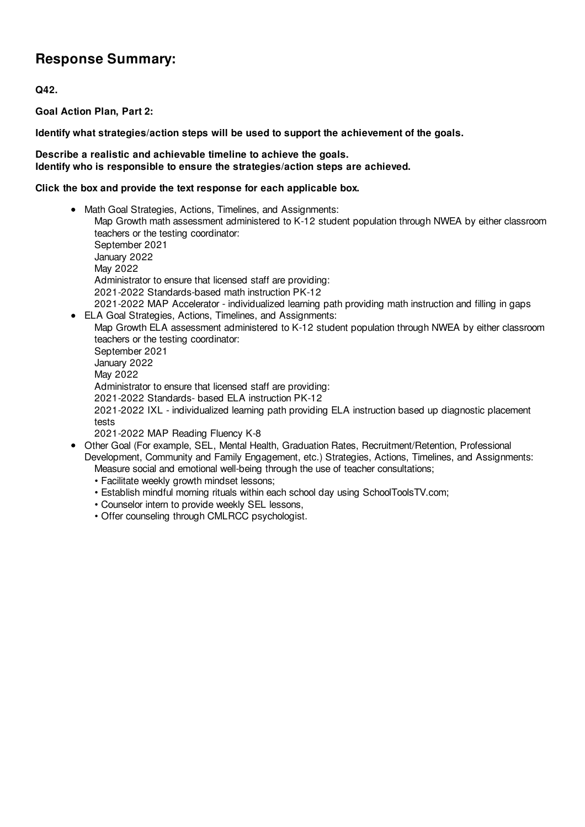# **Response Summary:**

**Q42.**

**Goal Action Plan, Part 2:**

**Identify what strategies/action steps will be used to support the achievement of the goals.**

### **Describe a realistic and achievable timeline to achieve the goals. Identify who is responsible to ensure the strategies/action steps are achieved.**

### **Click the box and provide the text response for each applicable box.**

- Math Goal Strategies, Actions, Timelines, and Assignments: Map Growth math assessment administered to K-12 student population through NWEA by either classroom teachers or the testing coordinator: September 2021 January 2022 May 2022 Administrator to ensure that licensed staff are providing: 2021-2022 Standards-based math instruction PK-12 2021-2022 MAP Accelerator - individualized learning path providing math instruction and filling in gaps
- ELA Goal Strategies, Actions, Timelines, and Assignments: Map Growth ELA assessment administered to K-12 student population through NWEA by either classroom teachers or the testing coordinator: September 2021 January 2022 May 2022 Administrator to ensure that licensed staff are providing: 2021-2022 Standards- based ELA instruction PK-12 2021-2022 IXL - individualized learning path providing ELA instruction based up diagnostic placement tests 2021-2022 MAP Reading Fluency K-8
- Other Goal (For example, SEL, Mental Health, Graduation Rates, Recruitment/Retention, Professional Development, Community and Family Engagement, etc.) Strategies, Actions, Timelines, and Assignments: Measure social and emotional well-being through the use of teacher consultations;
	- Facilitate weekly growth mindset lessons;
	- Establish mindful morning rituals within each school day using SchoolToolsTV.com;
	- Counselor intern to provide weekly SEL lessons,
	- Offer counseling through CMLRCC psychologist.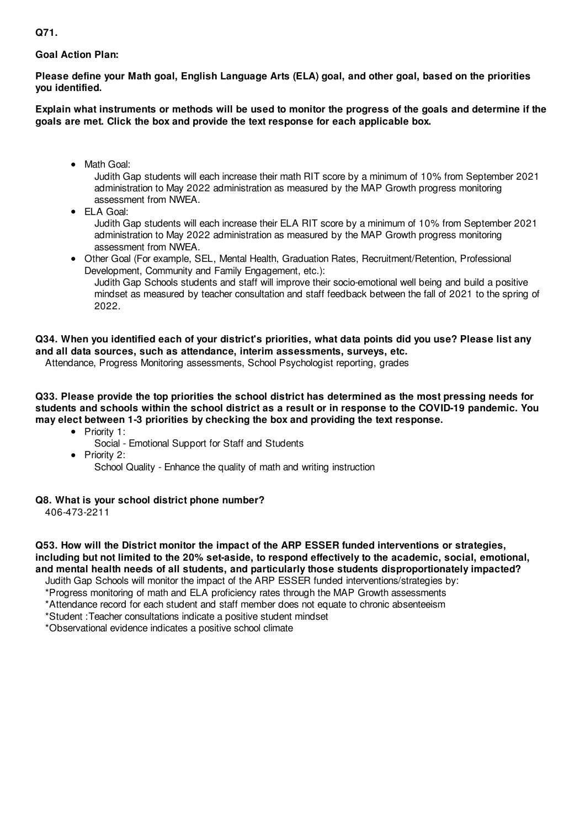# **Goal Action Plan:**

**Please define your Math goal, English Language Arts (ELA) goal, and other goal, based on the priorities you identified.**

Explain what instruments or methods will be used to monitor the progress of the goals and determine if the **goals are met. Click the box and provide the text response for each applicable box.**

• Math Goal:

Judith Gap students will each increase their math RIT score by a minimum of 10% from September 2021 administration to May 2022 administration as measured by the MAP Growth progress monitoring assessment from NWEA.

ELA Goal:

Judith Gap students will each increase their ELA RIT score by a minimum of 10% from September 2021 administration to May 2022 administration as measured by the MAP Growth progress monitoring assessment from NWEA.

Other Goal (For example, SEL, Mental Health, Graduation Rates, Recruitment/Retention, Professional Development, Community and Family Engagement, etc.): Judith Gap Schools students and staff will improve their socio-emotional well being and build a positive mindset as measured by teacher consultation and staff feedback between the fall of 2021 to the spring of 2022.

# Q34. When you identified each of your district's priorities, what data points did you use? Please list any **and all data sources, such as attendance, interim assessments, surveys, etc.**

Attendance, Progress Monitoring assessments, School Psychologist reporting, grades

**Q33. Please provide the top priorities the school district has determined as the most pressing needs for** students and schools within the school district as a result or in response to the COVID-19 pandemic. You **may elect between 1-3 priorities by checking the box and providing the text response.**

- Priority 1:
	- Social Emotional Support for Staff and Students
- Priority 2: School Quality - Enhance the quality of math and writing instruction

## **Q8. What is your school district phone number?**

406-473-2211

**Q53. How will the District monitor the impact of the ARP ESSER funded interventions or strategies, including but not limited to the 20% set-aside, to respond effectively to the academic, social, emotional, and mental health needs of all students, and particularly those students disproportionately impacted?** Judith Gap Schools will monitor the impact of the ARP ESSER funded interventions/strategies by:

\*Progress monitoring of math and ELA proficiency rates through the MAP Growth assessments \*Attendance record for each student and staff member does not equate to chronic absenteeism

\*Student :Teacher consultations indicate a positive student mindset

\*Observational evidence indicates a positive school climate

**Q71.**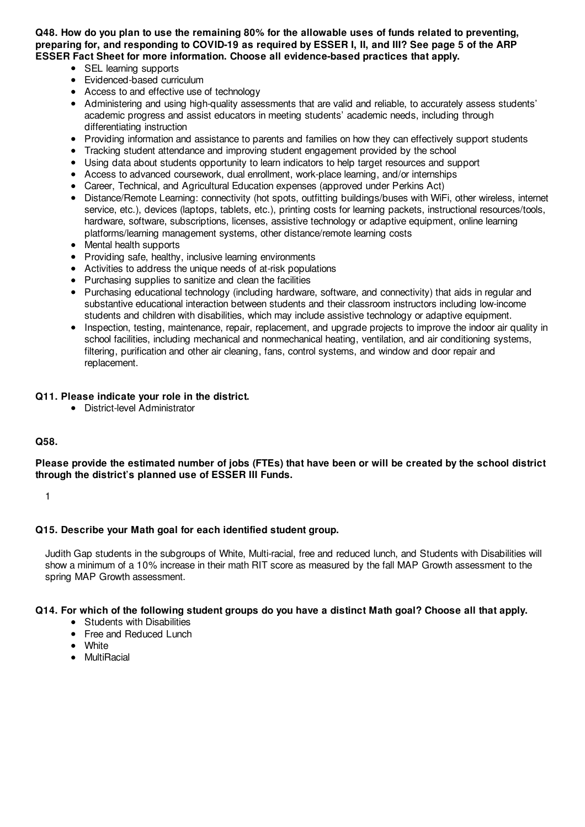Q48. How do you plan to use the remaining 80% for the allowable uses of funds related to preventing. preparing for, and responding to COVID-19 as required by ESSER I, II, and III? See page 5 of the ARP **ESSER Fact Sheet for more information. Choose all evidence-based practices that apply.**

- SEL learning supports
- Evidenced-based curriculum
- Access to and effective use of technology
- Administering and using high-quality assessments that are valid and reliable, to accurately assess students' academic progress and assist educators in meeting students' academic needs, including through differentiating instruction
- Providing information and assistance to parents and families on how they can effectively support students
- Tracking student attendance and improving student engagement provided by the school
- Using data about students opportunity to learn indicators to help target resources and support
- Access to advanced coursework, dual enrollment, work-place learning, and/or internships
- Career, Technical, and Agricultural Education expenses (approved under Perkins Act)
- Distance/Remote Learning: connectivity (hot spots, outfitting buildings/buses with WiFi, other wireless, internet service, etc.), devices (laptops, tablets, etc.), printing costs for learning packets, instructional resources/tools, hardware, software, subscriptions, licenses, assistive technology or adaptive equipment, online learning platforms/learning management systems, other distance/remote learning costs
- Mental health supports
- Providing safe, healthy, inclusive learning environments
- Activities to address the unique needs of at-risk populations
- Purchasing supplies to sanitize and clean the facilities
- Purchasing educational technology (including hardware, software, and connectivity) that aids in regular and substantive educational interaction between students and their classroom instructors including low-income students and children with disabilities, which may include assistive technology or adaptive equipment.
- Inspection, testing, maintenance, repair, replacement, and upgrade projects to improve the indoor air quality in school facilities, including mechanical and nonmechanical heating, ventilation, and air conditioning systems, filtering, purification and other air cleaning, fans, control systems, and window and door repair and replacement.

#### **Q11. Please indicate your role in the district.**

District-level Administrator

#### **Q58.**

Please provide the estimated number of jobs (FTEs) that have been or will be created by the school district **through the district's planned use of ESSER III Funds.**

1

#### **Q15. Describe your Math goal for each identified student group.**

Judith Gap students in the subgroups of White, Multi-racial, free and reduced lunch, and Students with Disabilities will show a minimum of a 10% increase in their math RIT score as measured by the fall MAP Growth assessment to the spring MAP Growth assessment.

#### Q14. For which of the following student groups do you have a distinct Math goal? Choose all that apply.

- Students with Disabilities
- Free and Reduced Lunch
- White
- MultiRacial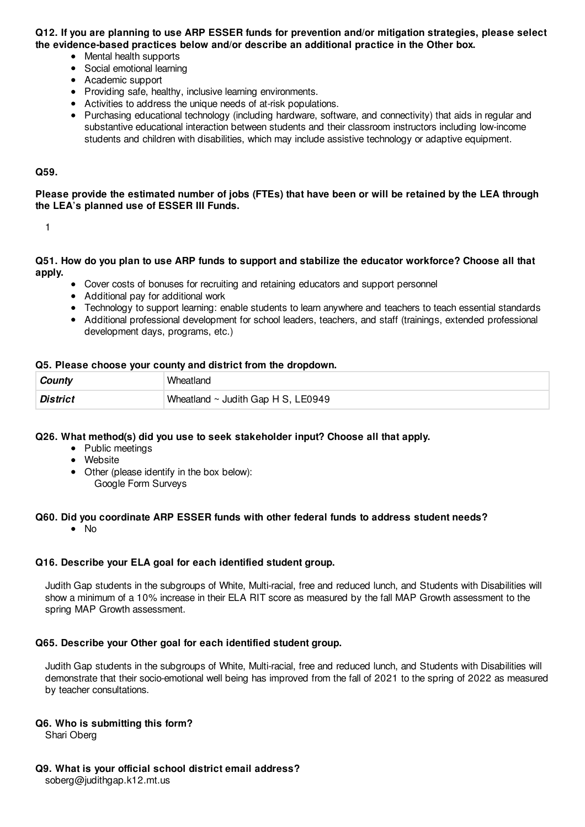#### Q12. If you are planning to use ARP ESSER funds for prevention and/or mitigation strategies, please select **the evidence-based practices below and/or describe an additional practice in the Other box.**

- Mental health supports
- Social emotional learning
- Academic support
- Providing safe, healthy, inclusive learning environments.
- Activities to address the unique needs of at-risk populations.
- Purchasing educational technology (including hardware, software, and connectivity) that aids in regular and substantive educational interaction between students and their classroom instructors including low-income students and children with disabilities, which may include assistive technology or adaptive equipment.

#### **Q59.**

Please provide the estimated number of jobs (FTEs) that have been or will be retained by the LEA through **the LEA's planned use of ESSER III Funds.**

1

Q51. How do you plan to use ARP funds to support and stabilize the educator workforce? Choose all that **apply.**

- Cover costs of bonuses for recruiting and retaining educators and support personnel
- Additional pay for additional work
- Technology to support learning: enable students to learn anywhere and teachers to teach essential standards
- Additional professional development for school leaders, teachers, and staff (trainings, extended professional development days, programs, etc.)

#### **Q5. Please choose your county and district from the dropdown.**

| ∣ County        | Wheatland                               |
|-----------------|-----------------------------------------|
| <b>District</b> | Wheatland $\sim$ Judith Gap H S, LE0949 |

#### **Q26. What method(s) did you use to seek stakeholder input? Choose all that apply.**

- Public meetings
- Website
- Other (please identify in the box below):
	- Google Form Surveys

#### **Q60. Did you coordinate ARP ESSER funds with other federal funds to address student needs?**

 $\bullet$  No

#### **Q16. Describe your ELA goal for each identified student group.**

Judith Gap students in the subgroups of White, Multi-racial, free and reduced lunch, and Students with Disabilities will show a minimum of a 10% increase in their ELA RIT score as measured by the fall MAP Growth assessment to the spring MAP Growth assessment.

#### **Q65. Describe your Other goal for each identified student group.**

Judith Gap students in the subgroups of White, Multi-racial, free and reduced lunch, and Students with Disabilities will demonstrate that their socio-emotional well being has improved from the fall of 2021 to the spring of 2022 as measured by teacher consultations.

#### **Q6. Who is submitting this form?**

Shari Oberg

#### **Q9. What is your official school district email address?**

soberg@judithgap.k12.mt.us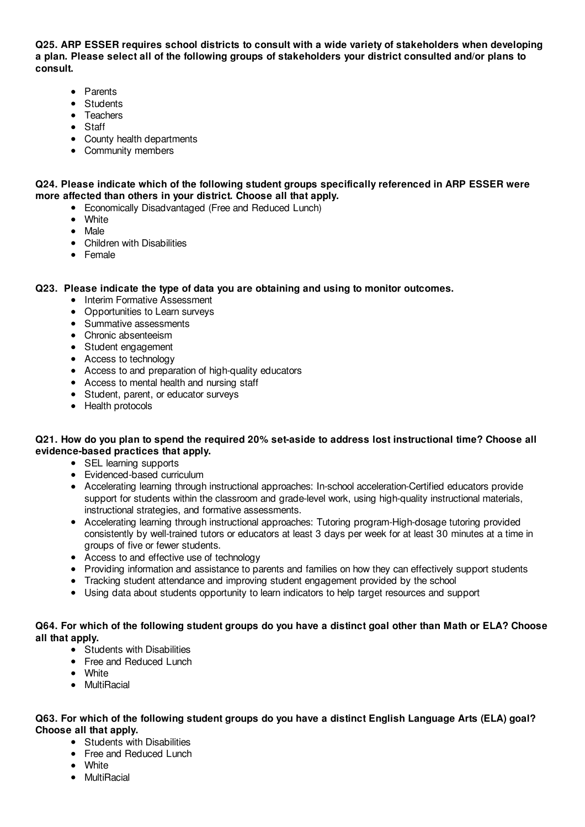**Q25. ARP ESSER requires school districts to consult with a wide variety of stakeholders when developing a plan. Please select all of the following groups of stakeholders your district consulted and/or plans to consult.**

- Parents
- Students
- Teachers
- Staff
- County health departments
- Community members

#### **Q24. Please indicate which of the following student groups specifically referenced in ARP ESSER were more affected than others in your district. Choose all that apply.**

- Economically Disadvantaged (Free and Reduced Lunch)
- White
- Male
- Children with Disabilities
- Female

#### **Q23. Please indicate the type of data you are obtaining and using to monitor outcomes.**

- Interim Formative Assessment
- Opportunities to Learn surveys
- Summative assessments
- Chronic absenteeism
- Student engagement
- Access to technology
- Access to and preparation of high-quality educators
- Access to mental health and nursing staff
- Student, parent, or educator surveys
- Health protocols

## Q21. How do you plan to spend the required 20% set-aside to address lost instructional time? Choose all **evidence-based practices that apply.**

- SEL learning supports
- Evidenced-based curriculum
- Accelerating learning through instructional approaches: In-school acceleration-Certified educators provide support for students within the classroom and grade-level work, using high-quality instructional materials, instructional strategies, and formative assessments.
- Accelerating learning through instructional approaches: Tutoring program-High-dosage tutoring provided consistently by well-trained tutors or educators at least 3 days per week for at least 30 minutes at a time in groups of five or fewer students.
- Access to and effective use of technology
- Providing information and assistance to parents and families on how they can effectively support students
- Tracking student attendance and improving student engagement provided by the school
- Using data about students opportunity to learn indicators to help target resources and support

#### Q64. For which of the following student groups do you have a distinct goal other than Math or ELA? Choose **all that apply.**

- Students with Disabilities
- Free and Reduced Lunch
- **•** White
- **•** MultiRacial

#### Q63. For which of the following student groups do you have a distinct English Language Arts (ELA) goal? **Choose all that apply.**

- Students with Disabilities
- Free and Reduced Lunch
- White
- MultiRacial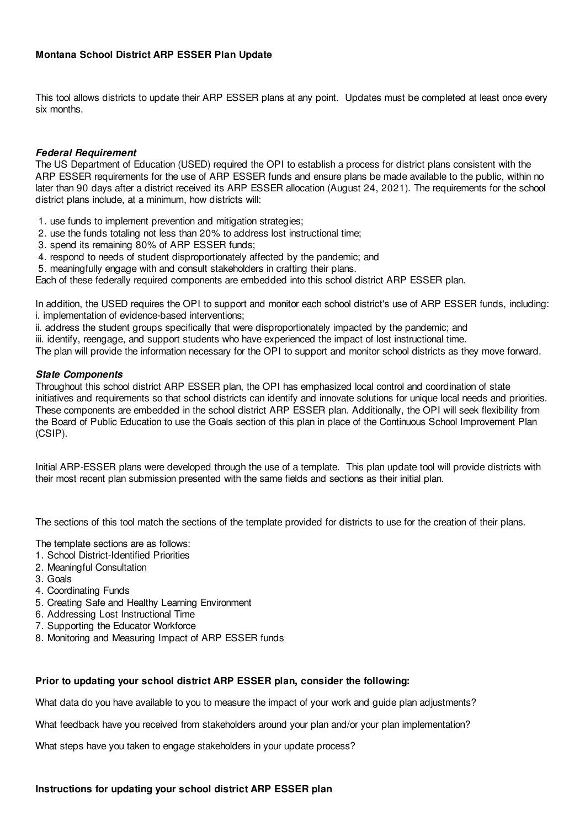## **Montana School District ARP ESSER Plan Update**

This tool allows districts to update their ARP ESSER plans at any point. Updates must be completed at least once every six months.

#### **Federal Requirement**

The US Department of Education (USED) required the OPI to establish a process for district plans consistent with the ARP ESSER requirements for the use of ARP ESSER funds and ensure plans be made available to the public, within no later than 90 days after a district received its ARP ESSER allocation (August 24, 2021). The requirements for the school district plans include, at a minimum, how districts will:

- 1. use funds to implement prevention and mitigation strategies;
- 2. use the funds totaling not less than 20% to address lost instructional time;
- 3. spend its remaining 80% of ARP ESSER funds;
- 4. respond to needs of student disproportionately affected by the pandemic; and
- 5. meaningfully engage with and consult stakeholders in crafting their plans.

Each of these federally required components are embedded into this school district ARP ESSER plan.

In addition, the USED requires the OPI to support and monitor each school district's use of ARP ESSER funds, including: i. implementation of evidence-based interventions;

ii. address the student groups specifically that were disproportionately impacted by the pandemic; and

iii. identify, reengage, and support students who have experienced the impact of lost instructional time.

The plan will provide the information necessary for the OPI to support and monitor school districts as they move forward.

#### **State Components**

Throughout this school district ARP ESSER plan, the OPI has emphasized local control and coordination of state initiatives and requirements so that school districts can identify and innovate solutions for unique local needs and priorities. These components are embedded in the school district ARP ESSER plan. Additionally, the OPI will seek flexibility from the Board of Public Education to use the Goals section of this plan in place of the Continuous School Improvement Plan (CSIP).

Initial ARP-ESSER plans were developed through the use of a template. This plan update tool will provide districts with their most recent plan submission presented with the same fields and sections as their initial plan.

The sections of this tool match the sections of the template provided for districts to use for the creation of their plans.

The template sections are as follows:

- 1. School District-Identified Priorities
- 2. Meaningful Consultation
- 3. Goals
- 4. Coordinating Funds
- 5. Creating Safe and Healthy Learning Environment
- 6. Addressing Lost Instructional Time
- 7. Supporting the Educator Workforce
- 8. Monitoring and Measuring Impact of ARP ESSER funds

#### **Prior to updating your school district ARP ESSER plan, consider the following:**

What data do you have available to you to measure the impact of your work and guide plan adjustments?

What feedback have you received from stakeholders around your plan and/or your plan implementation?

What steps have you taken to engage stakeholders in your update process?

#### **Instructions for updating your school district ARP ESSER plan**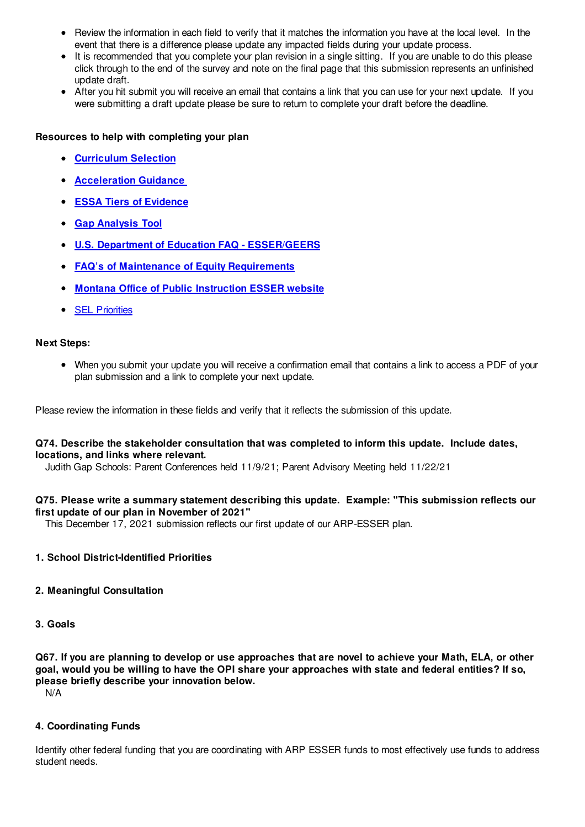- Review the information in each field to verify that it matches the information you have at the local level. In the event that there is a difference please update any impacted fields during your update process.
- It is recommended that you complete your plan revision in a single sitting. If you are unable to do this please click through to the end of the survey and note on the final page that this submission represents an unfinished update draft.
- After you hit submit you will receive an email that contains a link that you can use for your next update. If you were submitting a draft update please be sure to return to complete your draft before the deadline.

### **Resources to help with completing your plan**

- **Curriculum Selection**
- **Acceleration Guidance**
- **ESSA Tiers of Evidence**
- **Gap Analysis Tool**
- **U.S. Department of Education FAQ - ESSER/GEERS**
- **FAQ's of Maintenance of Equity Requirements**
- **Montana Office of Public Instruction ESSER website**
- **•** SEL Priorities

#### **Next Steps:**

When you submit your update you will receive a confirmation email that contains a link to access a PDF of your plan submission and a link to complete your next update.

Please review the information in these fields and verify that it reflects the submission of this update.

#### **Q74. Describe the stakeholder consultation that was completed to inform this update. Include dates, locations, and links where relevant.**

Judith Gap Schools: Parent Conferences held 11/9/21; Parent Advisory Meeting held 11/22/21

#### **Q75. Please write a summary statement describing this update. Example: "This submission reflects our first update of our plan in November of 2021"**

This December 17, 2021 submission reflects our first update of our ARP-ESSER plan.

#### **1. School District-Identified Priorities**

#### **2. Meaningful Consultation**

**3. Goals**

Q67. If you are planning to develop or use approaches that are novel to achieve your Math, ELA, or other goal, would you be willing to have the OPI share your approaches with state and federal entities? If so, **please briefly describe your innovation below.**

N/A

#### **4. Coordinating Funds**

Identify other federal funding that you are coordinating with ARP ESSER funds to most effectively use funds to address student needs.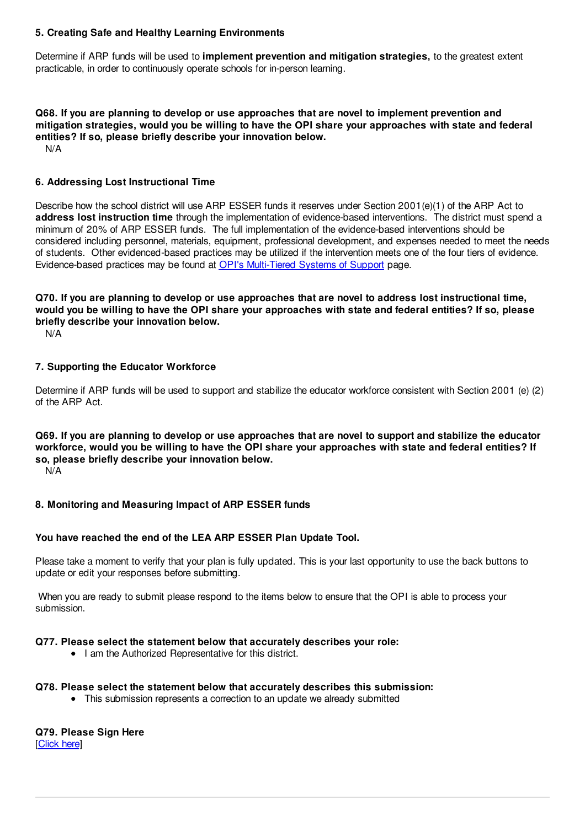### **5. Creating Safe and Healthy Learning Environments**

Determine if ARP funds will be used to **implement prevention and mitigation strategies,** to the greatest extent practicable, in order to continuously operate schools for in-person learning.

**Q68. If you are planning to develop or use approaches that are novel to implement prevention and mitigation strategies, would you be willing to have the OPI share your approaches with state and federal entities? If so, please briefly describe your innovation below.** N/A

### **6. Addressing Lost Instructional Time**

Describe how the school district will use ARP ESSER funds it reserves under Section 2001(e)(1) of the ARP Act to **address lost instruction time** through the implementation of evidence-based interventions. The district must spend a minimum of 20% of ARP ESSER funds. The full implementation of the evidence-based interventions should be considered including personnel, materials, equipment, professional development, and expenses needed to meet the needs of students. Other evidenced-based practices may be utilized if the intervention meets one of the four tiers of evidence. Evidence-based practices may be found at OPI's Multi-Tiered Systems of Support page.

# Q70. If you are planning to develop or use approaches that are novel to address lost instructional time. would you be willing to have the OPI share your approaches with state and federal entities? If so, please **briefly describe your innovation below.**

N/A

## **7. Supporting the Educator Workforce**

Determine if ARP funds will be used to support and stabilize the educator workforce consistent with Section 2001 (e) (2) of the ARP Act.

Q69. If you are planning to develop or use approaches that are novel to support and stabilize the educator workforce, would you be willing to have the OPI share your approaches with state and federal entities? If **so, please briefly describe your innovation below.**

N/A

## **8. Monitoring and Measuring Impact of ARP ESSER funds**

#### **You have reached the end of the LEA ARP ESSER Plan Update Tool.**

Please take a moment to verify that your plan is fully updated. This is your last opportunity to use the back buttons to update or edit your responses before submitting.

When you are ready to submit please respond to the items below to ensure that the OPI is able to process your submission.

#### **Q77. Please select the statement below that accurately describes your role:**

• I am the Authorized Representative for this district.

#### **Q78. Please select the statement below that accurately describes this submission:**

This submission represents a correction to an update we already submitted

#### **Q79. Please Sign Here** [Click here]